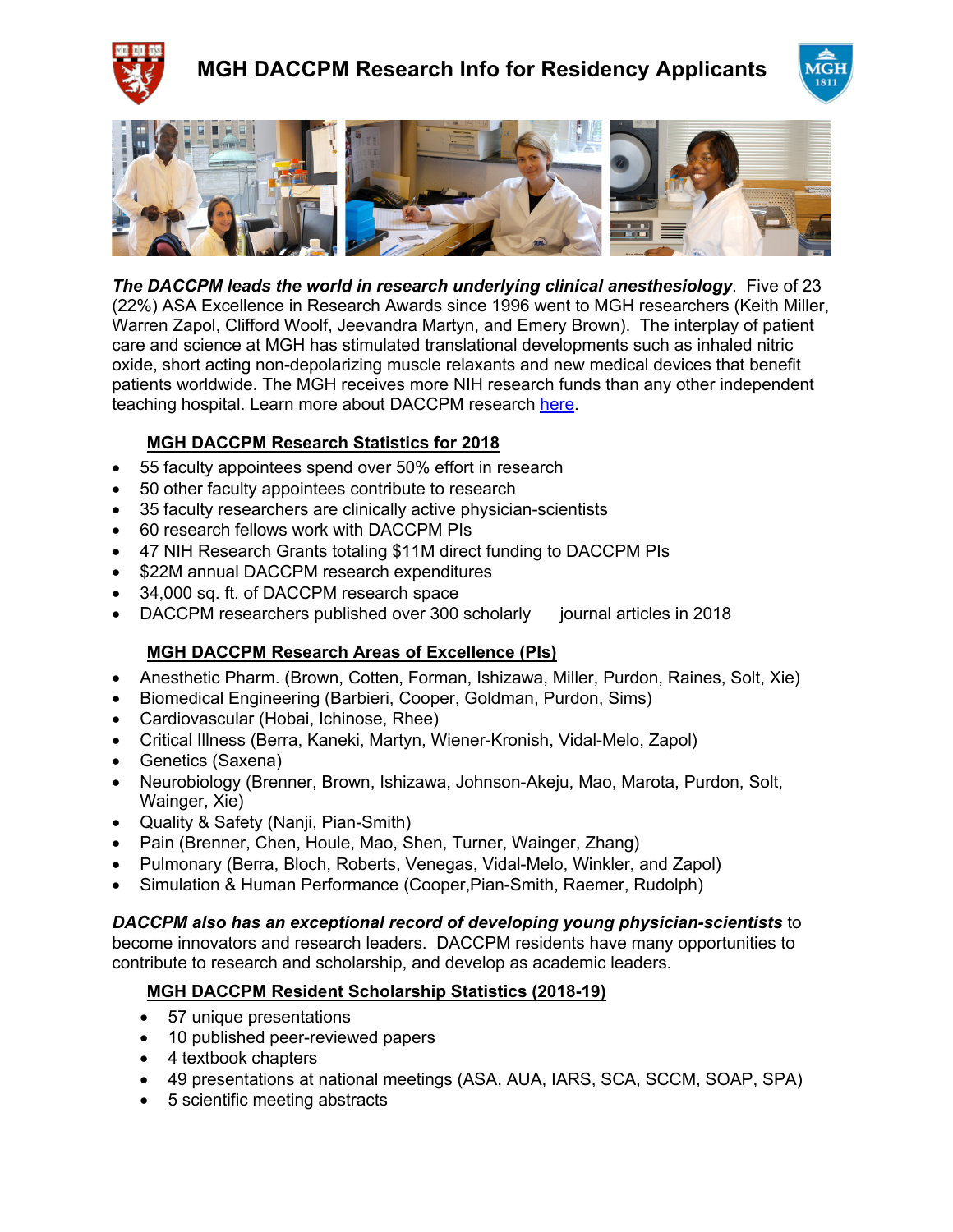





*The DACCPM leads the world in research underlying clinical anesthesiology*. Five of 23 (22%) ASA Excellence in Research Awards since 1996 went to MGH researchers (Keith Miller, Warren Zapol, Clifford Woolf, Jeevandra Martyn, and Emery Brown). The interplay of patient care and science at MGH has stimulated translational developments such as inhaled nitric oxide, short acting non-depolarizing muscle relaxants and new medical devices that benefit patients worldwide. The MGH receives more NIH research funds than any other independent teaching hospital. Learn more about DACCPM research here.

## **MGH DACCPM Research Statistics for 2018**

- 55 faculty appointees spend over 50% effort in research
- 50 other faculty appointees contribute to research
- 35 faculty researchers are clinically active physician-scientists
- 60 research fellows work with DACCPM PIs
- 47 NIH Research Grants totaling \$11M direct funding to DACCPM PIs
- \$22M annual DACCPM research expenditures
- 34,000 sq. ft. of DACCPM research space
- DACCPM researchers published over 300 scholarly journal articles in 2018

### **MGH DACCPM Research Areas of Excellence (PIs)**

- Anesthetic Pharm. (Brown, Cotten, Forman, Ishizawa, Miller, Purdon, Raines, Solt, Xie)
- Biomedical Engineering (Barbieri, Cooper, Goldman, Purdon, Sims)
- Cardiovascular (Hobai, Ichinose, Rhee)
- Critical Illness (Berra, Kaneki, Martyn, Wiener-Kronish, Vidal-Melo, Zapol)
- Genetics (Saxena)
- Neurobiology (Brenner, Brown, Ishizawa, Johnson-Akeju, Mao, Marota, Purdon, Solt, Wainger, Xie)
- Quality & Safety (Nanji, Pian-Smith)
- Pain (Brenner, Chen, Houle, Mao, Shen, Turner, Wainger, Zhang)
- Pulmonary (Berra, Bloch, Roberts, Venegas, Vidal-Melo, Winkler, and Zapol)
- Simulation & Human Performance (Cooper,Pian-Smith, Raemer, Rudolph)

#### *DACCPM also has an exceptional record of developing young physician-scientists* to

become innovators and research leaders. DACCPM residents have many opportunities to contribute to research and scholarship, and develop as academic leaders.

### **MGH DACCPM Resident Scholarship Statistics (2018-19)**

- 57 unique presentations
- 10 published peer-reviewed papers
- 4 textbook chapters
- 49 presentations at national meetings (ASA, AUA, IARS, SCA, SCCM, SOAP, SPA)
- 5 scientific meeting abstracts